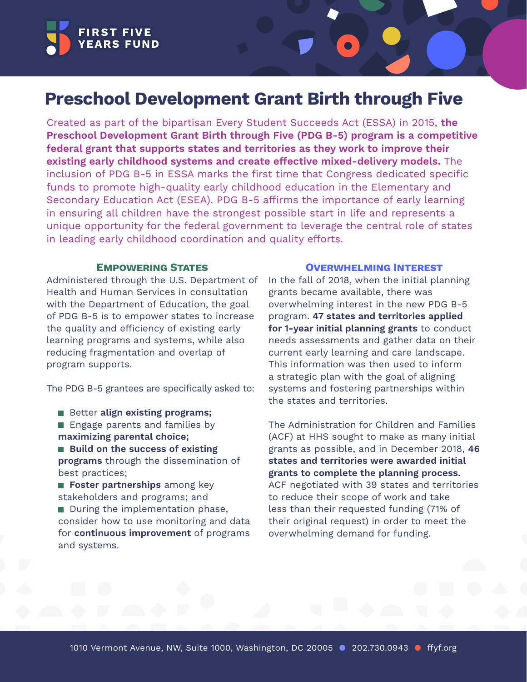

# **Preschool Development Grant Birth through Five**

Created as part of the bipartisan Every Student Succeeds Act (ESSA) in 2015, **the Preschool Development Grant Birth through Five (PDG B-5) program is a competitive federal grant that supports states and territories as they work to improve their existing early childhood systems and create effective mixed-delivery models.** The inclusion of PDG B-5 in ESSA marks the first time that Congress dedicated specific funds to promote high-quality early childhood education in the Elementary and Secondary Education Act (ESEA). PDG B-5 affirms the importance of early learning in ensuring all children have the strongest possible start in life and represents a unique opportunity for the federal government to leverage the central role of states in leading early childhood coordination and quality efforts.

### **Empowering States**

Administered through the U.S. Department of Health and Human Services in consultation with the Department of Education, the goal of PDG B-5 is to empower states to increase the quality and efficiency of existing early learning programs and systems, while also reducing fragmentation and overlap of program supports.

The PDG B-5 grantees are specifically asked to:

- Better align existing programs;
- **Engage parents and families by maximizing parental choice;**
- Build on the success of existing **programs** through the dissemination of best practices;

**Foster partnerships** among key stakeholders and programs; and During the implementation phase, consider how to use monitoring and data for **continuous improvement** of programs and systems.

#### **Overwhelming Interest**

In the fall of 2018, when the initial planning grants became available, there was overwhelming interest in the new PDG B-5 program. **47 states and territories applied for 1-year initial planning grants** to conduct needs assessments and gather data on their current early learning and care landscape. This information was then used to inform a strategic plan with the goal of aligning systems and fostering partnerships within the states and territories.

The Administration for Children and Families (ACF) at HHS sought to make as many initial grants as possible, and in December 2018, **46 states and territories were awarded initial grants to complete the planning process.**  ACF negotiated with 39 states and territories to reduce their scope of work and take less than their requested funding (71% of their original request) in order to meet the overwhelming demand for funding.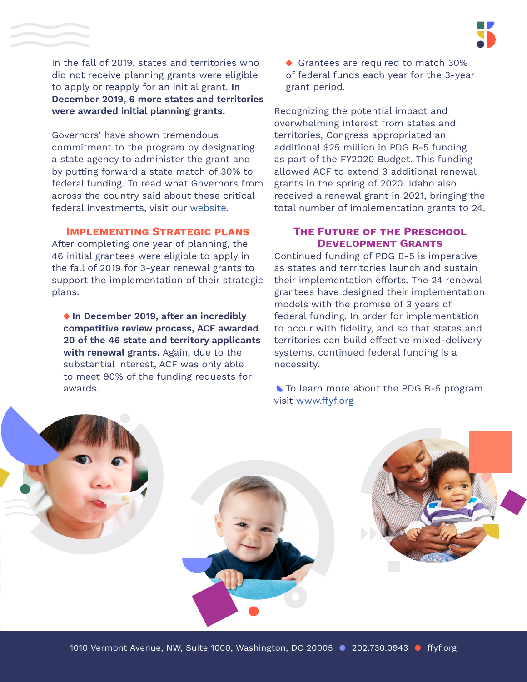In the fall of 2019, states and territories who did not receive planning grants were eligible to apply or reapply for an initial grant. **In December 2019, 6 more states and territories were awarded initial planning grants.** 

Governors' have shown tremendous commitment to the program by designating a state agency to administer the grant and by putting forward a state match of 30% to federal funding. To read what Governors from across the country said about these critical federal investments, visit our [website](https://www.ffyf.org/governors-across-the-country-celebrate-federal-preschool-development-grant-b-5-funding/).

## **Implementing Strategic plans**

After completing one year of planning, the 46 initial grantees were eligible to apply in the fall of 2019 for 3-year renewal grants to support the implementation of their strategic plans.

◆ In December 2019, after an incredibly **competitive review process, ACF awarded 20 of the 46 state and territory applicants with renewal grants.** Again, due to the substantial interest, ACF was only able to meet 90% of the funding requests for awards.

Grantees are required to match 30% of federal funds each year for the 3-year grant period.

Recognizing the potential impact and overwhelming interest from states and territories, Congress appropriated an additional \$25 million in PDG B-5 funding as part of the FY2020 Budget. This funding allowed ACF to extend 3 additional renewal grants in the spring of 2020. Idaho also received a renewal grant in 2021, bringing the total number of implementation grants to 24.

# **The Future of the Preschool Development Grants**

Continued funding of PDG B-5 is imperative as states and territories launch and sustain their implementation efforts. The 24 renewal grantees have designed their implementation models with the promise of 3 years of federal funding. In order for implementation to occur with fidelity, and so that states and territories can build effective mixed-delivery systems, continued federal funding is a necessity.

To learn more about the PDG B-5 program visit [www.ffyf.org](http://www.ffyf.org)